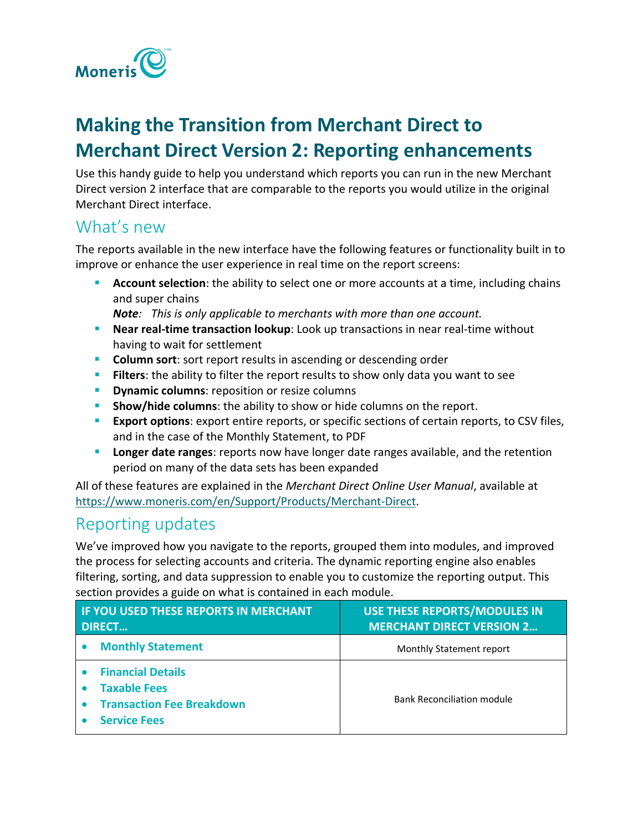

## **Making the Transition from Merchant Direct to Merchant Direct Version 2: Reporting enhancements**

Use this handy guide to help you understand which reports you can run in the new Merchant Direct version 2 interface that are comparable to the reports you would utilize in the original Merchant Direct interface.

## What's new

The reports available in the new interface have the following features or functionality built in to improve or enhance the user experience in real time on the report screens:

 **Account selection**: the ability to select one or more accounts at a time, including chains and super chains

*Note: This is only applicable to merchants with more than one account.*

- **Near real-time transaction lookup**: Look up transactions in near real-time without having to wait for settlement
- **Column sort**: sort report results in ascending or descending order
- **Filters**: the ability to filter the report results to show only data you want to see
- **Dynamic columns:** reposition or resize columns
- **Show/hide columns:** the ability to show or hide columns on the report.
- **Export options**: export entire reports, or specific sections of certain reports, to CSV files, and in the case of the Monthly Statement, to PDF
- **Longer date ranges**: reports now have longer date ranges available, and the retention period on many of the data sets has been expanded

All of these features are explained in the *Merchant Direct Online User Manual*, available at [https://www.moneris.com/en/Support/Products/Merchant-Direct.](https://www.moneris.com/en/Support/Products/Merchant-Direct)

## Reporting updates

We've improved how you navigate to the reports, grouped them into modules, and improved the process for selecting accounts and criteria. The dynamic reporting engine also enables filtering, sorting, and data suppression to enable you to customize the reporting output. This section provides a guide on what is contained in each module.

| <b>IF YOU USED THESE REPORTS IN MERCHANT</b><br><b>DIRECT</b>                                              | <b>USE THESE REPORTS/MODULES IN</b><br><b>MERCHANT DIRECT VERSION 2</b> |
|------------------------------------------------------------------------------------------------------------|-------------------------------------------------------------------------|
| <b>Monthly Statement</b>                                                                                   | Monthly Statement report                                                |
| <b>Financial Details</b><br><b>Taxable Fees</b><br><b>Transaction Fee Breakdown</b><br><b>Service Fees</b> | <b>Bank Reconciliation module</b>                                       |